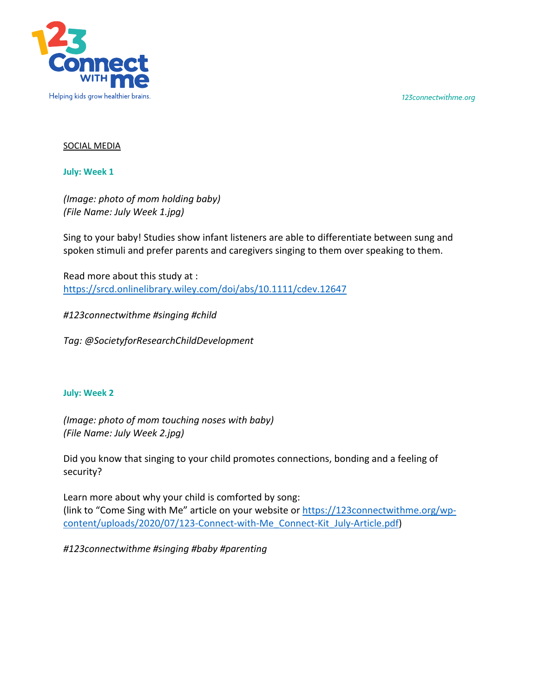*123connectwithme.org*



## SOCIAL MEDIA

**July: Week 1**

*(Image: photo of mom holding baby) (File Name: July Week 1.jpg)*

Sing to your baby! Studies show infant listeners are able to differentiate between sung and spoken stimuli and prefer parents and caregivers singing to them over speaking to them.

Read more about this study at : https://srcd.onlinelibrary.wiley.com/doi/abs/10.1111/cdev.12647

*#123connectwithme #singing #child*

*Tag: @SocietyforResearchChildDevelopment*

## **July: Week 2**

*(Image: photo of mom touching noses with baby) (File Name: July Week 2.jpg)*

Did you know that singing to your child promotes connections, bonding and a feeling of security?

Learn more about why your child is comforted by song: (link to "Come Sing with Me" article on your website or https://123connectwithme.org/wpcontent/uploads/2020/07/123-Connect-with-Me\_Connect-Kit\_July-Article.pdf)

*#123connectwithme #singing #baby #parenting*